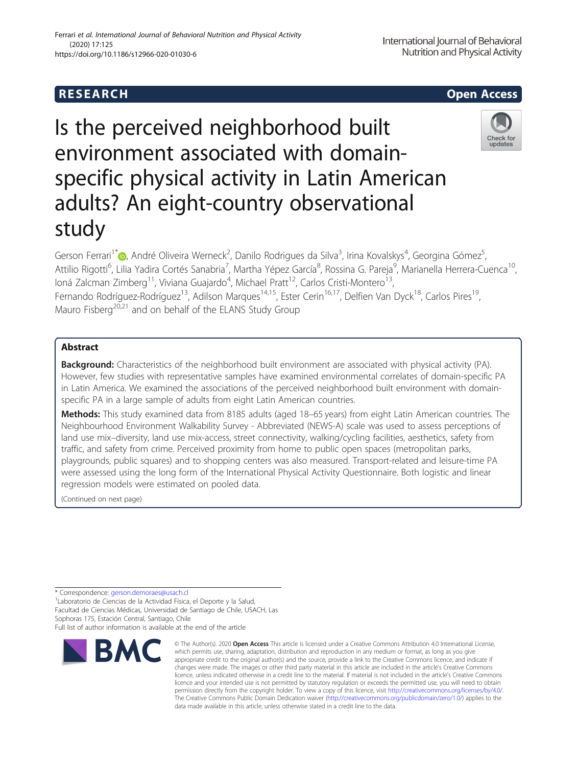## R E S EAR CH Open Access

# Is the perceived neighborhood built environment associated with domainspecific physical activity in Latin American adults? An eight-country observational study

Gerson Ferrari<sup>1\*</sup> (o[,](http://orcid.org/0000-0003-3177-6576) André Oliveira Werneck<sup>2</sup>, Danilo Rodrigues da Silva<sup>3</sup>, Irina Kovalskys<sup>4</sup>, Georgina Gómez<sup>5</sup> , Attilio Rigotti<sup>6</sup>, Lilia Yadira Cortés Sanabria<sup>7</sup>, Martha Yépez García<sup>8</sup>, Rossina G. Pareja<sup>9</sup>, Marianella Herrera-Cuenca<sup>10</sup>, loná Zalcman Zimberg<sup>11</sup>, Viviana Guajardo<sup>4</sup>, Michael Pratt<sup>12</sup>, Carlos Cristi-Montero<sup>13</sup>, Fernando Rodríguez-Rodríguez<sup>13</sup>, Adilson Marques<sup>14,15</sup>, Ester Cerin<sup>16,17</sup>, Delfien Van Dyck<sup>18</sup>, Carlos Pires<sup>19</sup>, Mauro Fisberg<sup>20,21</sup> and on behalf of the ELANS Study Group

## Abstract

Background: Characteristics of the neighborhood built environment are associated with physical activity (PA). However, few studies with representative samples have examined environmental correlates of domain-specific PA in Latin America. We examined the associations of the perceived neighborhood built environment with domainspecific PA in a large sample of adults from eight Latin American countries.

Methods: This study examined data from 8185 adults (aged 18–65 years) from eight Latin American countries. The Neighbourhood Environment Walkability Survey - Abbreviated (NEWS-A) scale was used to assess perceptions of land use mix–diversity, land use mix-access, street connectivity, walking/cycling facilities, aesthetics, safety from traffic, and safety from crime. Perceived proximity from home to public open spaces (metropolitan parks, playgrounds, public squares) and to shopping centers was also measured. Transport-related and leisure-time PA were assessed using the long form of the International Physical Activity Questionnaire. Both logistic and linear regression models were estimated on pooled data.

(Continued on next page)

\* Correspondence: [gerson.demoraes@usach.cl](mailto:gerson.demoraes@usach.cl) <sup>1</sup>

Laboratorio de Ciencias de la Actividad Física, el Deporte y la Salud, Facultad de Ciencias Médicas, Universidad de Santiago de Chile, USACH, Las Sophoras 175, Estación Central, Santiago, Chile

Full list of author information is available at the end of the article

data made available in this article, unless otherwise stated in a credit line to the data.

licence and your intended use is not permitted by statutory regulation or exceeds the permitted use, you will need to obtain permission directly from the copyright holder. To view a copy of this licence, visit [http://creativecommons.org/licenses/by/4.0/.](http://creativecommons.org/licenses/by/4.0/) The Creative Commons Public Domain Dedication waiver [\(http://creativecommons.org/publicdomain/zero/1.0/](http://creativecommons.org/publicdomain/zero/1.0/)) applies to the







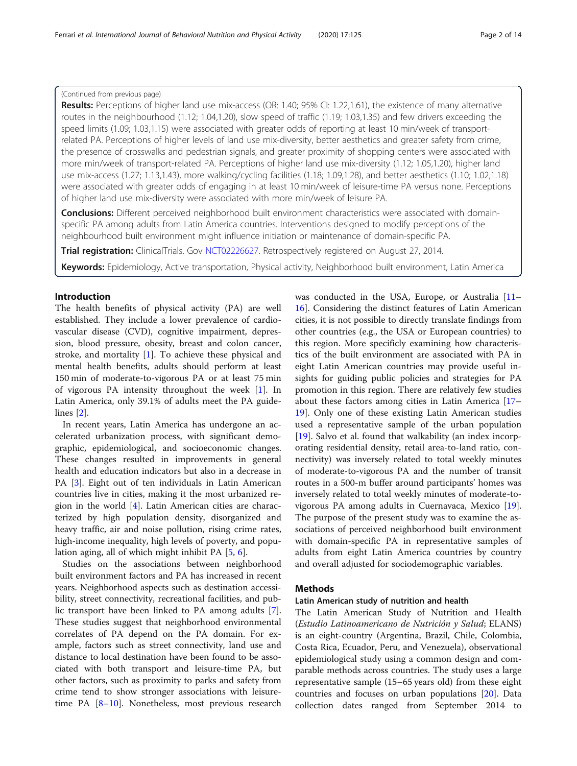## (Continued from previous page)

Results: Perceptions of higher land use mix-access (OR: 1.40; 95% CI: 1.22,1.61), the existence of many alternative routes in the neighbourhood (1.12; 1.04,1.20), slow speed of traffic (1.19; 1.03,1.35) and few drivers exceeding the speed limits (1.09; 1.03,1.15) were associated with greater odds of reporting at least 10 min/week of transportrelated PA. Perceptions of higher levels of land use mix-diversity, better aesthetics and greater safety from crime, the presence of crosswalks and pedestrian signals, and greater proximity of shopping centers were associated with more min/week of transport-related PA. Perceptions of higher land use mix-diversity (1.12; 1.05,1.20), higher land use mix-access (1.27; 1.13,1.43), more walking/cycling facilities (1.18; 1.09,1.28), and better aesthetics (1.10; 1.02,1.18) were associated with greater odds of engaging in at least 10 min/week of leisure-time PA versus none. Perceptions of higher land use mix-diversity were associated with more min/week of leisure PA.

**Conclusions:** Different perceived neighborhood built environment characteristics were associated with domainspecific PA among adults from Latin America countries. Interventions designed to modify perceptions of the neighbourhood built environment might influence initiation or maintenance of domain-specific PA.

Trial registration: ClinicalTrials. Gov [NCT02226627](https://clinicaltrials.gov/ct2/show/NCT02226627). Retrospectively registered on August 27, 2014.

Keywords: Epidemiology, Active transportation, Physical activity, Neighborhood built environment, Latin America

## Introduction

The health benefits of physical activity (PA) are well established. They include a lower prevalence of cardiovascular disease (CVD), cognitive impairment, depression, blood pressure, obesity, breast and colon cancer, stroke, and mortality [[1\]](#page-12-0). To achieve these physical and mental health benefits, adults should perform at least 150 min of moderate-to-vigorous PA or at least 75 min of vigorous PA intensity throughout the week [\[1](#page-12-0)]. In Latin America, only 39.1% of adults meet the PA guidelines [[2](#page-12-0)].

In recent years, Latin America has undergone an accelerated urbanization process, with significant demographic, epidemiological, and socioeconomic changes. These changes resulted in improvements in general health and education indicators but also in a decrease in PA [[3\]](#page-12-0). Eight out of ten individuals in Latin American countries live in cities, making it the most urbanized region in the world [[4\]](#page-12-0). Latin American cities are characterized by high population density, disorganized and heavy traffic, air and noise pollution, rising crime rates, high-income inequality, high levels of poverty, and population aging, all of which might inhibit PA [[5](#page-12-0), [6](#page-12-0)].

Studies on the associations between neighborhood built environment factors and PA has increased in recent years. Neighborhood aspects such as destination accessibility, street connectivity, recreational facilities, and public transport have been linked to PA among adults [\[7](#page-12-0)]. These studies suggest that neighborhood environmental correlates of PA depend on the PA domain. For example, factors such as street connectivity, land use and distance to local destination have been found to be associated with both transport and leisure-time PA, but other factors, such as proximity to parks and safety from crime tend to show stronger associations with leisuretime PA [[8](#page-12-0)–[10](#page-12-0)]. Nonetheless, most previous research

was conducted in the USA, Europe, or Australia [[11](#page-12-0)– [16\]](#page-12-0). Considering the distinct features of Latin American cities, it is not possible to directly translate findings from other countries (e.g., the USA or European countries) to this region. More specificly examining how characteristics of the built environment are associated with PA in eight Latin American countries may provide useful insights for guiding public policies and strategies for PA promotion in this region. There are relatively few studies about these factors among cities in Latin America [[17](#page-12-0)– [19\]](#page-12-0). Only one of these existing Latin American studies used a representative sample of the urban population [[19\]](#page-12-0). Salvo et al. found that walkability (an index incorporating residential density, retail area-to-land ratio, connectivity) was inversely related to total weekly minutes of moderate-to-vigorous PA and the number of transit routes in a 500-m buffer around participants' homes was inversely related to total weekly minutes of moderate-tovigorous PA among adults in Cuernavaca, Mexico [\[19](#page-12-0)]. The purpose of the present study was to examine the associations of perceived neighborhood built environment with domain-specific PA in representative samples of adults from eight Latin America countries by country and overall adjusted for sociodemographic variables.

## Methods

## Latin American study of nutrition and health

The Latin American Study of Nutrition and Health (Estudio Latinoamericano de Nutrición y Salud; ELANS) is an eight-country (Argentina, Brazil, Chile, Colombia, Costa Rica, Ecuador, Peru, and Venezuela), observational epidemiological study using a common design and comparable methods across countries. The study uses a large representative sample (15–65 years old) from these eight countries and focuses on urban populations [[20\]](#page-12-0). Data collection dates ranged from September 2014 to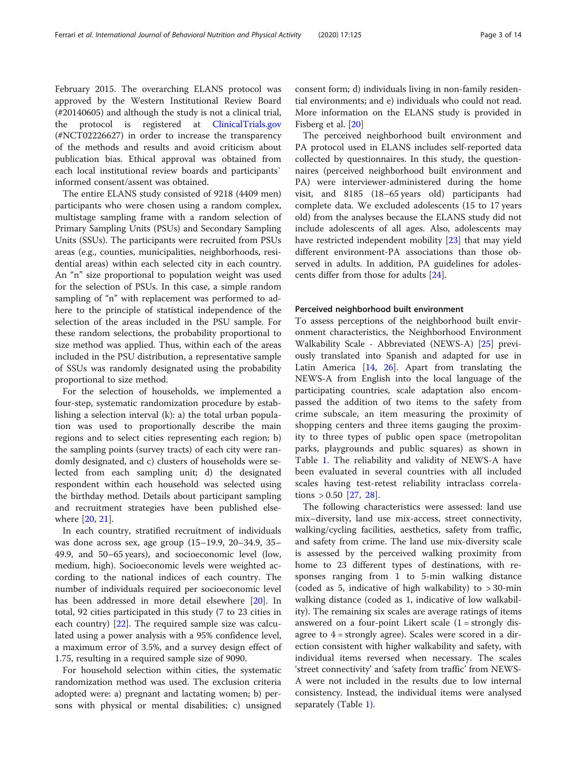February 2015. The overarching ELANS protocol was approved by the Western Institutional Review Board (#20140605) and although the study is not a clinical trial, the protocol is registered at [ClinicalTrials.gov](http://clinicaltrials.gov) (#NCT02226627) in order to increase the transparency of the methods and results and avoid criticism about publication bias. Ethical approval was obtained from each local institutional review boards and participants` informed consent/assent was obtained.

The entire ELANS study consisted of 9218 (4409 men) participants who were chosen using a random complex, multistage sampling frame with a random selection of Primary Sampling Units (PSUs) and Secondary Sampling Units (SSUs). The participants were recruited from PSUs areas (e.g., counties, municipalities, neighborhoods, residential areas) within each selected city in each country. An "n" size proportional to population weight was used for the selection of PSUs. In this case, a simple random sampling of "n" with replacement was performed to adhere to the principle of statistical independence of the selection of the areas included in the PSU sample. For these random selections, the probability proportional to size method was applied. Thus, within each of the areas included in the PSU distribution, a representative sample of SSUs was randomly designated using the probability proportional to size method.

For the selection of households, we implemented a four-step, systematic randomization procedure by establishing a selection interval (k): a) the total urban population was used to proportionally describe the main regions and to select cities representing each region; b) the sampling points (survey tracts) of each city were randomly designated, and c) clusters of households were selected from each sampling unit; d) the designated respondent within each household was selected using the birthday method. Details about participant sampling and recruitment strategies have been published elsewhere [\[20](#page-12-0), [21](#page-12-0)].

In each country, stratified recruitment of individuals was done across sex, age group (15–19.9, 20–34.9, 35– 49.9, and 50–65 years), and socioeconomic level (low, medium, high). Socioeconomic levels were weighted according to the national indices of each country. The number of individuals required per socioeconomic level has been addressed in more detail elsewhere [\[20](#page-12-0)]. In total, 92 cities participated in this study (7 to 23 cities in each country) [\[22\]](#page-12-0). The required sample size was calculated using a power analysis with a 95% confidence level, a maximum error of 3.5%, and a survey design effect of 1.75, resulting in a required sample size of 9090.

For household selection within cities, the systematic randomization method was used. The exclusion criteria adopted were: a) pregnant and lactating women; b) persons with physical or mental disabilities; c) unsigned consent form; d) individuals living in non-family residential environments; and e) individuals who could not read. More information on the ELANS study is provided in Fisberg et al. [[20\]](#page-12-0)

The perceived neighborhood built environment and PA protocol used in ELANS includes self-reported data collected by questionnaires. In this study, the questionnaires (perceived neighborhood built environment and PA) were interviewer-administered during the home visit, and 8185 (18–65 years old) participants had complete data. We excluded adolescents (15 to 17 years old) from the analyses because the ELANS study did not include adolescents of all ages. Also, adolescents may have restricted independent mobility [\[23\]](#page-12-0) that may yield different environment-PA associations than those observed in adults. In addition, PA guidelines for adolescents differ from those for adults [[24\]](#page-12-0).

## Perceived neighborhood built environment

To assess perceptions of the neighborhood built environment characteristics, the Neighborhood Environment Walkability Scale - Abbreviated (NEWS-A) [[25\]](#page-12-0) previously translated into Spanish and adapted for use in Latin America [\[14](#page-12-0), [26](#page-12-0)]. Apart from translating the NEWS-A from English into the local language of the participating countries, scale adaptation also encompassed the addition of two items to the safety from crime subscale, an item measuring the proximity of shopping centers and three items gauging the proximity to three types of public open space (metropolitan parks, playgrounds and public squares) as shown in Table [1.](#page-3-0) The reliability and validity of NEWS-A have been evaluated in several countries with all included scales having test-retest reliability intraclass correlations  $> 0.50$  [[27,](#page-12-0) [28](#page-12-0)].

The following characteristics were assessed: land use mix–diversity, land use mix-access, street connectivity, walking/cycling facilities, aesthetics, safety from traffic, and safety from crime. The land use mix-diversity scale is assessed by the perceived walking proximity from home to 23 different types of destinations, with responses ranging from 1 to 5-min walking distance (coded as 5, indicative of high walkability) to > 30-min walking distance (coded as 1, indicative of low walkability). The remaining six scales are average ratings of items answered on a four-point Likert scale  $(1 =$  strongly disagree to  $4 =$  strongly agree). Scales were scored in a direction consistent with higher walkability and safety, with individual items reversed when necessary. The scales 'street connectivity' and 'safety from traffic' from NEWS-A were not included in the results due to low internal consistency. Instead, the individual items were analysed separately (Table [1](#page-3-0)).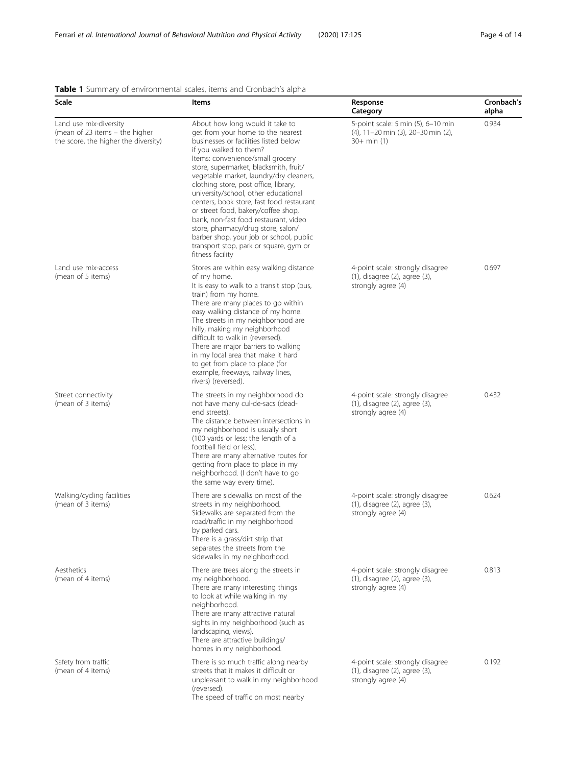## <span id="page-3-0"></span>Table 1 Summary of environmental scales, items and Cronbach's alpha

| Scale                                                                                            | Items                                                                                                                                                                                                                                                                                                                                                                                                                                                                                                                                                                                                                         | Response<br>Category                                                                             | Cronbach's<br>alpha |
|--------------------------------------------------------------------------------------------------|-------------------------------------------------------------------------------------------------------------------------------------------------------------------------------------------------------------------------------------------------------------------------------------------------------------------------------------------------------------------------------------------------------------------------------------------------------------------------------------------------------------------------------------------------------------------------------------------------------------------------------|--------------------------------------------------------------------------------------------------|---------------------|
| Land use mix-diversity<br>(mean of 23 items - the higher<br>the score, the higher the diversity) | About how long would it take to<br>get from your home to the nearest<br>businesses or facilities listed below<br>if you walked to them?<br>Items: convenience/small grocery<br>store, supermarket, blacksmith, fruit/<br>vegetable market, laundry/dry cleaners,<br>clothing store, post office, library,<br>university/school, other educational<br>centers, book store, fast food restaurant<br>or street food, bakery/coffee shop,<br>bank, non-fast food restaurant, video<br>store, pharmacy/drug store, salon/<br>barber shop, your job or school, public<br>transport stop, park or square, gym or<br>fitness facility | 5-point scale: 5 min (5), 6-10 min<br>(4), 11-20 min (3), 20-30 min (2),<br>$30+ min(1)$         | 0.934               |
| Land use mix-access<br>(mean of 5 items)                                                         | Stores are within easy walking distance<br>of my home.<br>It is easy to walk to a transit stop (bus,<br>train) from my home.<br>There are many places to go within<br>easy walking distance of my home.<br>The streets in my neighborhood are<br>hilly, making my neighborhood<br>difficult to walk in (reversed).<br>There are major barriers to walking<br>in my local area that make it hard<br>to get from place to place (for<br>example, freeways, railway lines,<br>rivers) (reversed).                                                                                                                                | 4-point scale: strongly disagree<br>$(1)$ , disagree $(2)$ , agree $(3)$ ,<br>strongly agree (4) | 0.697               |
| Street connectivity<br>(mean of 3 items)                                                         | The streets in my neighborhood do<br>not have many cul-de-sacs (dead-<br>end streets).<br>The distance between intersections in<br>my neighborhood is usually short<br>(100 yards or less; the length of a<br>football field or less).<br>There are many alternative routes for<br>getting from place to place in my<br>neighborhood. (I don't have to go<br>the same way every time).                                                                                                                                                                                                                                        | 4-point scale: strongly disagree<br>$(1)$ , disagree $(2)$ , agree $(3)$ ,<br>strongly agree (4) | 0.432               |
| Walking/cycling facilities<br>(mean of 3 items)                                                  | There are sidewalks on most of the<br>streets in my neighborhood.<br>Sidewalks are separated from the<br>road/traffic in my neighborhood<br>by parked cars.<br>There is a grass/dirt strip that<br>separates the streets from the<br>sidewalks in my neighborhood.                                                                                                                                                                                                                                                                                                                                                            | 4-point scale: strongly disagree<br>$(1)$ , disagree $(2)$ , agree $(3)$ ,<br>strongly agree (4) | 0.624               |
| Aesthetics<br>(mean of 4 items)                                                                  | There are trees along the streets in<br>my neighborhood.<br>There are many interesting things<br>to look at while walking in my<br>neighborhood.<br>There are many attractive natural<br>sights in my neighborhood (such as<br>landscaping, views).<br>There are attractive buildings/<br>homes in my neighborhood.                                                                                                                                                                                                                                                                                                           | 4-point scale: strongly disagree<br>$(1)$ , disagree $(2)$ , agree $(3)$ ,<br>strongly agree (4) | 0.813               |
| Safety from traffic<br>(mean of 4 items)                                                         | There is so much traffic along nearby<br>streets that it makes it difficult or<br>unpleasant to walk in my neighborhood<br>(reversed).<br>The speed of traffic on most nearby                                                                                                                                                                                                                                                                                                                                                                                                                                                 | 4-point scale: strongly disagree<br>$(1)$ , disagree $(2)$ , agree $(3)$ ,<br>strongly agree (4) | 0.192               |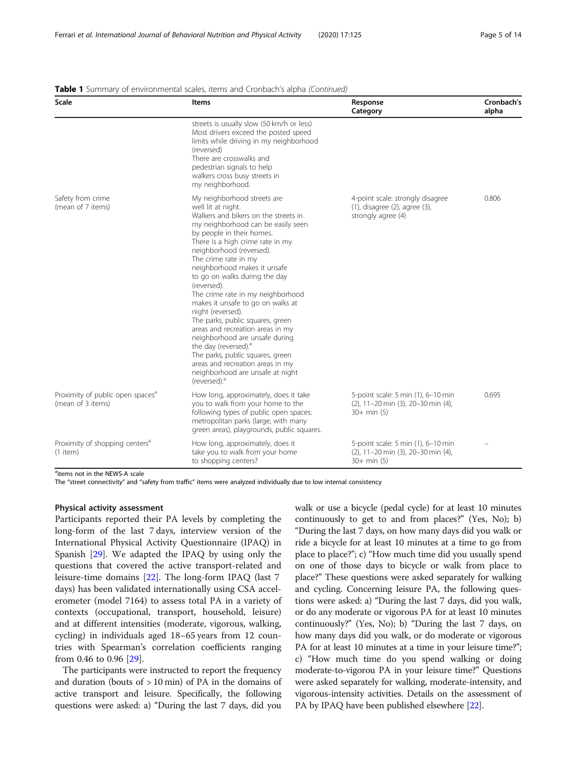| Scale                                                             | <b>Items</b>                                                                                                                                                                                                                                                                                                                                                                                                                                                                                                                                                                                                                                                                                                              | Response<br>Category                                                                              | Cronbach's<br>alpha |
|-------------------------------------------------------------------|---------------------------------------------------------------------------------------------------------------------------------------------------------------------------------------------------------------------------------------------------------------------------------------------------------------------------------------------------------------------------------------------------------------------------------------------------------------------------------------------------------------------------------------------------------------------------------------------------------------------------------------------------------------------------------------------------------------------------|---------------------------------------------------------------------------------------------------|---------------------|
|                                                                   | streets is usually slow (50 km/h or less)<br>Most drivers exceed the posted speed<br>limits while driving in my neighborhood<br>(reversed)<br>There are crosswalks and<br>pedestrian signals to help<br>walkers cross busy streets in<br>my neighborhood.                                                                                                                                                                                                                                                                                                                                                                                                                                                                 |                                                                                                   |                     |
| Safety from crime<br>(mean of 7 items)                            | My neighborhood streets are<br>well lit at night.<br>Walkers and bikers on the streets in<br>my neighborhood can be easily seen<br>by people in their homes.<br>There is a high crime rate in my<br>neighborhood (reversed).<br>The crime rate in my<br>neighborhood makes it unsafe<br>to go on walks during the day<br>(reversed).<br>The crime rate in my neighborhood<br>makes it unsafe to go on walks at<br>night (reversed).<br>The parks, public squares, green<br>areas and recreation areas in my<br>neighborhood are unsafe during<br>the day (reversed). <sup>a</sup><br>The parks, public squares, green<br>areas and recreation areas in my<br>neighborhood are unsafe at night<br>(reversed). <sup>a</sup> | 4-point scale: strongly disagree<br>$(1)$ , disagree $(2)$ , agree $(3)$ ,<br>strongly agree (4)  | 0.806               |
| Proximity of public open spaces <sup>a</sup><br>(mean of 3 items) | How long, approximately, does it take<br>you to walk from your home to the<br>following types of public open spaces:<br>metropolitan parks (large, with many<br>green areas), playgrounds, public squares.                                                                                                                                                                                                                                                                                                                                                                                                                                                                                                                | 5-point scale: 5 min (1), 6-10 min<br>$(2)$ , 11-20 min $(3)$ , 20-30 min $(4)$ ,<br>$30+ min(5)$ | 0.695               |
| Proximity of shopping centers <sup>a</sup><br>$(1$ item)          | How long, approximately, does it<br>take you to walk from your home<br>to shopping centers?                                                                                                                                                                                                                                                                                                                                                                                                                                                                                                                                                                                                                               | 5-point scale: 5 min (1), 6-10 min<br>(2), 11-20 min (3), 20-30 min (4),<br>$30+ min(5)$          |                     |

### Table 1 Summary of environmental scales, items and Cronbach's alpha (Continued)

<sup>a</sup>items not in the NEWS-A scale

The "street connectivity" and "safety from traffic" items were analyzed individually due to low internal consistency

## Physical activity assessment

Participants reported their PA levels by completing the long-form of the last 7 days, interview version of the International Physical Activity Questionnaire (IPAQ) in Spanish [[29\]](#page-12-0). We adapted the IPAQ by using only the questions that covered the active transport-related and leisure-time domains [[22\]](#page-12-0). The long-form IPAQ (last 7 days) has been validated internationally using CSA accelerometer (model 7164) to assess total PA in a variety of contexts (occupational, transport, household, leisure) and at different intensities (moderate, vigorous, walking, cycling) in individuals aged 18–65 years from 12 countries with Spearman's correlation coefficients ranging from 0.46 to 0.96 [[29](#page-12-0)].

The participants were instructed to report the frequency and duration (bouts of  $> 10$  min) of PA in the domains of active transport and leisure. Specifically, the following questions were asked: a) "During the last 7 days, did you

walk or use a bicycle (pedal cycle) for at least 10 minutes continuously to get to and from places?" (Yes, No); b) "During the last 7 days, on how many days did you walk or ride a bicycle for at least 10 minutes at a time to go from place to place?"; c) "How much time did you usually spend on one of those days to bicycle or walk from place to place?" These questions were asked separately for walking and cycling. Concerning leisure PA, the following questions were asked: a) "During the last 7 days, did you walk, or do any moderate or vigorous PA for at least 10 minutes continuously?" (Yes, No); b) "During the last 7 days, on how many days did you walk, or do moderate or vigorous PA for at least 10 minutes at a time in your leisure time?"; c) "How much time do you spend walking or doing moderate-to-vigorou PA in your leisure time?" Questions were asked separately for walking, moderate-intensity, and vigorous-intensity activities. Details on the assessment of PA by IPAQ have been published elsewhere [[22](#page-12-0)].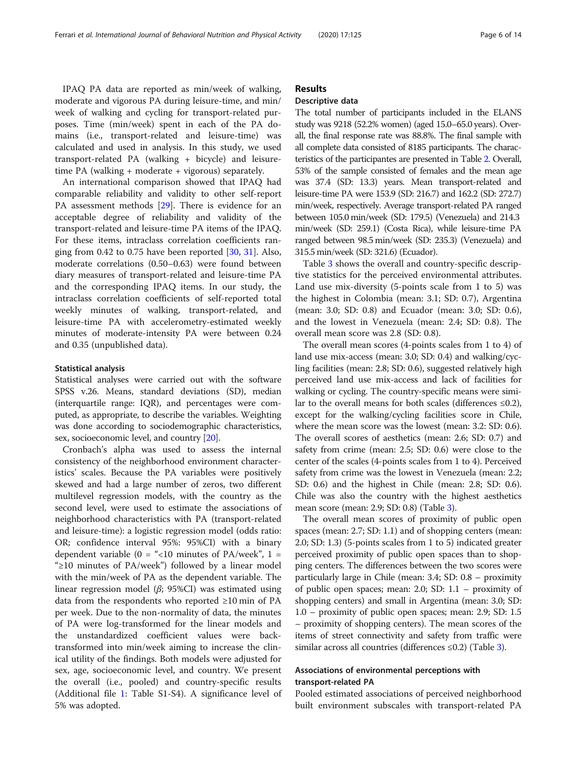IPAQ PA data are reported as min/week of walking, moderate and vigorous PA during leisure-time, and min/ week of walking and cycling for transport-related purposes. Time (min/week) spent in each of the PA domains (i.e., transport-related and leisure-time) was calculated and used in analysis. In this study, we used transport-related PA (walking + bicycle) and leisuretime PA (walking + moderate + vigorous) separately.

An international comparison showed that IPAQ had comparable reliability and validity to other self-report PA assessment methods [[29\]](#page-12-0). There is evidence for an acceptable degree of reliability and validity of the transport-related and leisure-time PA items of the IPAQ. For these items, intraclass correlation coefficients ranging from 0.42 to 0.75 have been reported [[30,](#page-12-0) [31\]](#page-12-0). Also, moderate correlations (0.50–0.63) were found between diary measures of transport-related and leisure-time PA and the corresponding IPAQ items. In our study, the intraclass correlation coefficients of self-reported total weekly minutes of walking, transport-related, and leisure-time PA with accelerometry-estimated weekly minutes of moderate-intensity PA were between 0.24 and 0.35 (unpublished data).

## Statistical analysis

Statistical analyses were carried out with the software SPSS v.26. Means, standard deviations (SD), median (interquartile range: IQR), and percentages were computed, as appropriate, to describe the variables. Weighting was done according to sociodemographic characteristics, sex, socioeconomic level, and country [[20](#page-12-0)].

Cronbach's alpha was used to assess the internal consistency of the neighborhood environment characteristics' scales. Because the PA variables were positively skewed and had a large number of zeros, two different multilevel regression models, with the country as the second level, were used to estimate the associations of neighborhood characteristics with PA (transport-related and leisure-time): a logistic regression model (odds ratio: OR; confidence interval 95%: 95%CI) with a binary dependent variable (0 = "<10 minutes of PA/week", 1 = "≥10 minutes of PA/week") followed by a linear model with the min/week of PA as the dependent variable. The linear regression model ( $\beta$ ; 95%CI) was estimated using data from the respondents who reported ≥10 min of PA per week. Due to the non-normality of data, the minutes of PA were log-transformed for the linear models and the unstandardized coefficient values were backtransformed into min/week aiming to increase the clinical utility of the findings. Both models were adjusted for sex, age, socioeconomic level, and country. We present the overall (i.e., pooled) and country-specific results (Additional file [1](#page-11-0): Table S1-S4). A significance level of 5% was adopted.

## Results

## Descriptive data

The total number of participants included in the ELANS study was 9218 (52.2% women) (aged 15.0–65.0 years). Overall, the final response rate was 88.8%. The final sample with all complete data consisted of 8185 participants. The characteristics of the participantes are presented in Table [2](#page-6-0). Overall, 53% of the sample consisted of females and the mean age was 37.4 (SD: 13.3) years. Mean transport-related and leisure-time PA were 153.9 (SD: 216.7) and 162.2 (SD: 272.7) min/week, respectively. Average transport-related PA ranged between 105.0 min/week (SD: 179.5) (Venezuela) and 214.3 min/week (SD: 259.1) (Costa Rica), while leisure-time PA ranged between 98.5 min/week (SD: 235.3) (Venezuela) and 315.5 min/week (SD: 321.6) (Ecuador).

Table [3](#page-7-0) shows the overall and country-specific descriptive statistics for the perceived environmental attributes. Land use mix-diversity (5-points scale from 1 to 5) was the highest in Colombia (mean: 3.1; SD: 0.7), Argentina (mean: 3.0; SD: 0.8) and Ecuador (mean: 3.0; SD: 0.6), and the lowest in Venezuela (mean: 2.4; SD: 0.8). The overall mean score was 2.8 (SD: 0.8).

The overall mean scores (4-points scales from 1 to 4) of land use mix-access (mean: 3.0; SD: 0.4) and walking/cycling facilities (mean: 2.8; SD: 0.6), suggested relatively high perceived land use mix-access and lack of facilities for walking or cycling. The country-specific means were similar to the overall means for both scales (differences  $\leq 0.2$ ), except for the walking/cycling facilities score in Chile, where the mean score was the lowest (mean: 3.2: SD: 0.6). The overall scores of aesthetics (mean: 2.6; SD: 0.7) and safety from crime (mean: 2.5; SD: 0.6) were close to the center of the scales (4-points scales from 1 to 4). Perceived safety from crime was the lowest in Venezuela (mean: 2.2; SD: 0.6) and the highest in Chile (mean: 2.8; SD: 0.6). Chile was also the country with the highest aesthetics mean score (mean: 2.9; SD: 0.8) (Table [3](#page-7-0)).

The overall mean scores of proximity of public open spaces (mean: 2.7; SD: 1.1) and of shopping centers (mean: 2.0; SD: 1.3) (5-points scales from 1 to 5) indicated greater perceived proximity of public open spaces than to shopping centers. The differences between the two scores were particularly large in Chile (mean: 3.4; SD: 0.8 – proximity of public open spaces; mean: 2.0; SD: 1.1 – proximity of shopping centers) and small in Argentina (mean: 3.0; SD: 1.0 – proximity of public open spaces; mean: 2.9; SD: 1.5 – proximity of shopping centers). The mean scores of the items of street connectivity and safety from traffic were similar across all countries (differences ≤0.2) (Table [3\)](#page-7-0).

## Associations of environmental perceptions with transport-related PA

Pooled estimated associations of perceived neighborhood built environment subscales with transport-related PA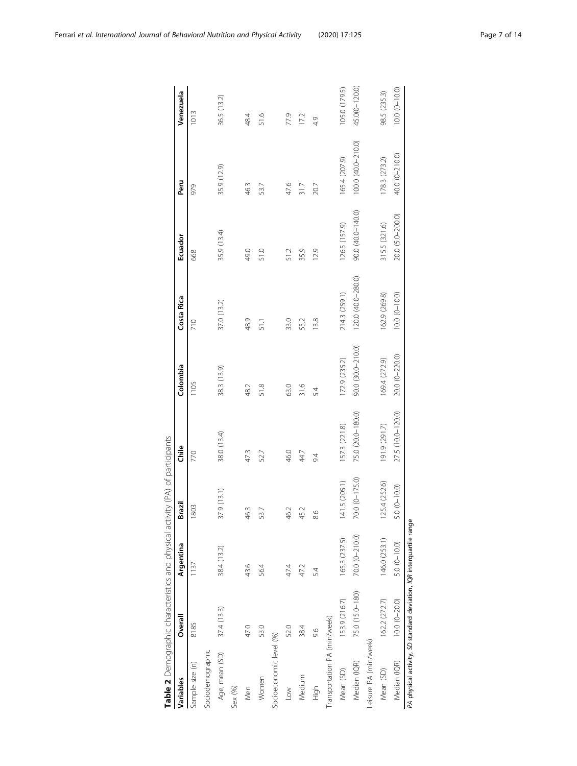|                              | Table 2 Demographic characteristics and physical activity (PA) of participants |                |                |                   |                   |                    |                   |                   |                   |
|------------------------------|--------------------------------------------------------------------------------|----------------|----------------|-------------------|-------------------|--------------------|-------------------|-------------------|-------------------|
| Variables                    | Overall                                                                        | Argentina      | Brazil         | Chile             | Colombia          | Costa Rica         | Ecuador           | Peru              | Venezuela         |
| Sample size (n)              | 8185                                                                           | 1137           | 1803           | 770               | 1105              | 710                | 668               | 979               | 1013              |
| Sociodemographic             |                                                                                |                |                |                   |                   |                    |                   |                   |                   |
| Age, mean (SD)               | 37.4(13.3)                                                                     | 38.4 (13.2)    | 37.9 (13.1)    | 38.0 (13.4)       | 38.3 (13.9)       | 37.0 (13.2)        | 35.9 (13.4)       | 35.9 (12.9)       | 36.5 (13.2)       |
| Sex (%)                      |                                                                                |                |                |                   |                   |                    |                   |                   |                   |
| Men                          | 47.0                                                                           | 43.6           | 46.3           | 47.3              | 48.2              | 48.9               | 49.0              | 46.3              | 48.4              |
| Women                        | 53.0                                                                           | 564            | 53.7           | 52.7              | 51.8              | 51.1               | 51.0              | 53.7              | 51.6              |
| Socioeconomic level (%)      |                                                                                |                |                |                   |                   |                    |                   |                   |                   |
| Low                          | 52.0                                                                           | 47.4           | 46.2           | 46.0              | 63.0              | 33.0               | 51.2              | 47.6              | 77.9              |
| Medium                       | 38.4                                                                           | 47.2           | 45.2           | 44.7              | 31.6              | 53.2               | 35.9              | 31.7              | 172               |
| High                         | 9.6                                                                            | 54             | 8.6            | 94                | 54                | 13.8               | 12.9              | 20.7              | 4.9               |
| Transportation PA (min/week) |                                                                                |                |                |                   |                   |                    |                   |                   |                   |
| Mean (SD)                    | 153.9 (216.7)                                                                  | 165.3 (237.5)  | 141.5 (205.1)  | 157.3 (221.8)     | 172.9 (235.2)     | 214.3 (259.1)      | 126.5 (157.9)     | 165.4 (207.9)     | 105.0 (179.5)     |
| Median (IQR)                 | 75.0 (15.0-180)                                                                | 70.0 (0-210.0) | 70.0 (0-175.0) | 75.0 (20.0-180.0) | 90.0 (30.0-210.0) | 120.0 (40.0-280.0) | 90.0 (40.0-140.0) | 1000 (40.0-210.0) | 45.0(0-120.0)     |
| Leisure PA (min/week)        |                                                                                |                |                |                   |                   |                    |                   |                   |                   |
| Mean (SD)                    | 162.2 (272.7)                                                                  | 146.0 (253.1)  | 125.4 (252.6)  | 191.9 (291.7)     | 169.4 (272.9)     | 162.9 (269.8)      | 315.5 (321.6)     | 178.3 (273.2)     | 98.5 (235.3)      |
| Median (IQR)                 | $10.0 (0 - 20.0)$                                                              | 5.0 (0-10.0)   | $5.0(0-10.0)$  | 27.5 (10.0-120.0) | 20.0 (0-220.0)    | $10.0 (0 - 10.0)$  | 20.0 (5.0-200.0)  | 40.0 (0-210.0)    | $10.0 (0 - 10.0)$ |
|                              | PA physical activity, SD standard deviation, IQR interquartile range           |                |                |                   |                   |                    |                   |                   |                   |

<span id="page-6-0"></span>

| Ferrari et al. International Journal of Behavioral Nutrition and Physical Activity | (2020) 17:125 | Page 7 of 14 |
|------------------------------------------------------------------------------------|---------------|--------------|
|                                                                                    |               |              |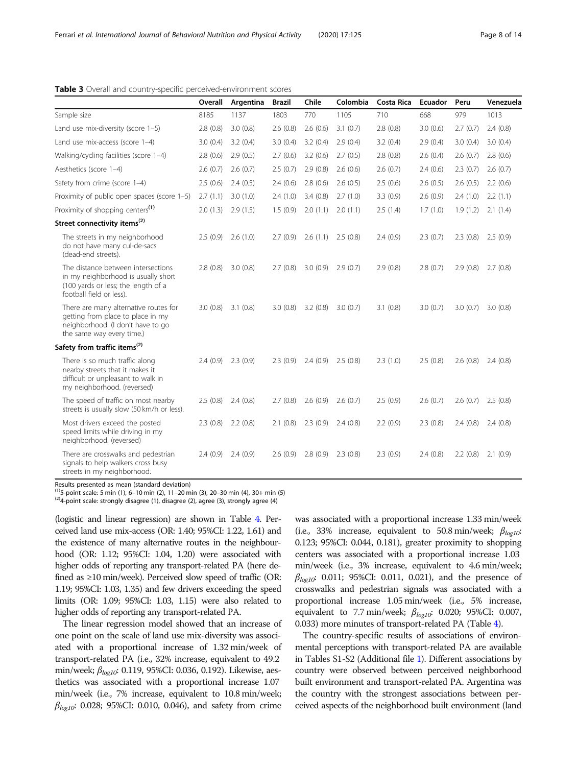## <span id="page-7-0"></span>Table 3 Overall and country-specific perceived-environment scores

|                                                                                                                                              | Overall  | Argentina | <b>Brazil</b> | Chile                 | Colombia | <b>Costa Rica</b> | Ecuador  | Peru     | Venezuela |
|----------------------------------------------------------------------------------------------------------------------------------------------|----------|-----------|---------------|-----------------------|----------|-------------------|----------|----------|-----------|
| Sample size                                                                                                                                  | 8185     | 1137      | 1803          | 770                   | 1105     | 710               | 668      | 979      | 1013      |
| Land use mix-diversity (score 1-5)                                                                                                           | 2.8(0.8) | 3.0(0.8)  | 2.6(0.8)      | 2.6(0.6)              | 3.1(0.7) | 2.8(0.8)          | 3.0(0.6) | 2.7(0.7) | 2.4(0.8)  |
| Land use mix-access (score 1-4)                                                                                                              | 3.0(0.4) | 3.2(0.4)  | 3.0(0.4)      | 3.2(0.4)              | 2.9(0.4) | 3.2(0.4)          | 2.9(0.4) | 3.0(0.4) | 3.0(0.4)  |
| Walking/cycling facilities (score 1-4)                                                                                                       | 2.8(0.6) | 2.9(0.5)  | 2.7(0.6)      | 3.2(0.6)              | 2.7(0.5) | 2.8(0.8)          | 2.6(0.4) | 2.6(0.7) | 2.8(0.6)  |
| Aesthetics (score 1-4)                                                                                                                       | 2.6(0.7) | 2.6(0.7)  | 2.5(0.7)      | 2.9(0.8)              | 2.6(0.6) | 2.6(0.7)          | 2.4(0.6) | 2.3(0.7) | 2.6(0.7)  |
| Safety from crime (score 1-4)                                                                                                                | 2.5(0.6) | 2.4(0.5)  | 2.4(0.6)      | 2.8(0.6)              | 2.6(0.5) | 2.5(0.6)          | 2.6(0.5) | 2.6(0.5) | 2.2(0.6)  |
| Proximity of public open spaces (score 1-5)                                                                                                  | 2.7(1.1) | 3.0(1.0)  | 2.4(1.0)      | 3.4(0.8)              | 2.7(1.0) | 3.3(0.9)          | 2.6(0.9) | 2.4(1.0) | 2.2(1.1)  |
| Proximity of shopping centers <sup>(1)</sup>                                                                                                 | 2.0(1.3) | 2.9(1.5)  | 1.5(0.9)      | 2.0(1.1)              | 2.0(1.1) | 2.5(1.4)          | 1.7(1.0) | 1.9(1.2) | 2.1(1.4)  |
| Street connectivity items <sup>(2)</sup>                                                                                                     |          |           |               |                       |          |                   |          |          |           |
| The streets in my neighborhood<br>do not have many cul-de-sacs<br>(dead-end streets).                                                        | 2.5(0.9) | 2.6(1.0)  |               | $2.7(0.9)$ $2.6(1.1)$ | 2.5(0.8) | 2.4(0.9)          | 2.3(0.7) | 2.3(0.8) | 2.5(0.9)  |
| The distance between intersections<br>in my neighborhood is usually short<br>(100 yards or less; the length of a<br>football field or less). | 2.8(0.8) | 3.0(0.8)  | 2.7(0.8)      | 3.0(0.9)              | 2.9(0.7) | 2.9(0.8)          | 2.8(0.7) | 2.9(0.8) | 2.7(0.8)  |
| There are many alternative routes for<br>getting from place to place in my<br>neighborhood. (I don't have to go<br>the same way every time.) | 3.0(0.8) | 3.1(0.8)  | 3.0(0.8)      | 3.2(0.8)              | 3.0(0.7) | 3.1(0.8)          | 3.0(0.7) | 3.0(0.7) | 3.0(0.8)  |
| Safety from traffic items <sup>(2)</sup>                                                                                                     |          |           |               |                       |          |                   |          |          |           |
| There is so much traffic along<br>nearby streets that it makes it<br>difficult or unpleasant to walk in<br>my neighborhood. (reversed)       | 2.4(0.9) | 2.3(0.9)  | 2.3(0.9)      | 2.4(0.9)              | 2.5(0.8) | 2.3(1.0)          | 2.5(0.8) | 2.6(0.8) | 2.4(0.8)  |
| The speed of traffic on most nearby<br>streets is usually slow (50 km/h or less).                                                            | 2.5(0.8) | 2.4(0.8)  | 2.7(0.8)      | 2.6(0.9)              | 2.6(0.7) | 2.5(0.9)          | 2.6(0.7) | 2.6(0.7) | 2.5(0.8)  |
| Most drivers exceed the posted<br>speed limits while driving in my<br>neighborhood. (reversed)                                               | 2.3(0.8) | 2.2(0.8)  | 2.1(0.8)      | 2.3(0.9)              | 2.4(0.8) | 2.2(0.9)          | 2.3(0.8) | 2.4(0.8) | 2.4(0.8)  |
| There are crosswalks and pedestrian<br>signals to help walkers cross busy<br>streets in my neighborhood.                                     | 2.4(0.9) | 2.4(0.9)  | 2.6(0.9)      | 2.8(0.9)              | 2.3(0.8) | 2.3(0.9)          | 2.4(0.8) | 2.2(0.8) | 2.1(0.9)  |

Results presented as mean (standard deviation)

<sup>(1)</sup>5-point scale: 5 min (1), 6–10 min (2), 11–20 min (3), 20–30 min (4), 30+ min (5)<br><sup>(2)</sup>4-point scale: strongly disagree (1), disagree (2), agree (3), strongly agree (4)

(logistic and linear regression) are shown in Table [4](#page-8-0). Perceived land use mix-access (OR: 1.40; 95%CI: 1.22, 1.61) and the existence of many alternative routes in the neighbourhood (OR: 1.12; 95%CI: 1.04, 1.20) were associated with higher odds of reporting any transport-related PA (here defined as ≥10 min/week). Perceived slow speed of traffic (OR: 1.19; 95%CI: 1.03, 1.35) and few drivers exceeding the speed limits (OR: 1.09; 95%CI: 1.03, 1.15) were also related to higher odds of reporting any transport-related PA.

The linear regression model showed that an increase of one point on the scale of land use mix-diversity was associated with a proportional increase of 1.32 min/week of transport-related PA (i.e., 32% increase, equivalent to 49.2 min/week;  $\beta_{log10}$ : 0.119, 95%CI: 0.036, 0.192). Likewise, aesthetics was associated with a proportional increase 1.07 min/week (i.e., 7% increase, equivalent to 10.8 min/week;  $\beta_{log10}$ : 0.028; 95%CI: 0.010, 0.046), and safety from crime

was associated with a proportional increase 1.33 min/week (i.e., 33% increase, equivalent to 50.8 min/week;  $\beta_{\text{loop1}}$ .) 0.123; 95%CI: 0.044, 0.181), greater proximity to shopping centers was associated with a proportional increase 1.03 min/week (i.e., 3% increase, equivalent to 4.6 min/week;  $\beta_{loop}$ : 0.011; 95%CI: 0.011, 0.021), and the presence of crosswalks and pedestrian signals was associated with a proportional increase 1.05 min/week (i.e., 5% increase, equivalent to 7.7 min/week;  $\beta_{log10}$ : 0.020; 95%CI: 0.007, 0.033) more minutes of transport-related PA (Table [4](#page-8-0)).

The country-specific results of associations of environmental perceptions with transport-related PA are available in Tables S1-S2 (Additional file [1\)](#page-11-0). Different associations by country were observed between perceived neighborhood built environment and transport-related PA. Argentina was the country with the strongest associations between perceived aspects of the neighborhood built environment (land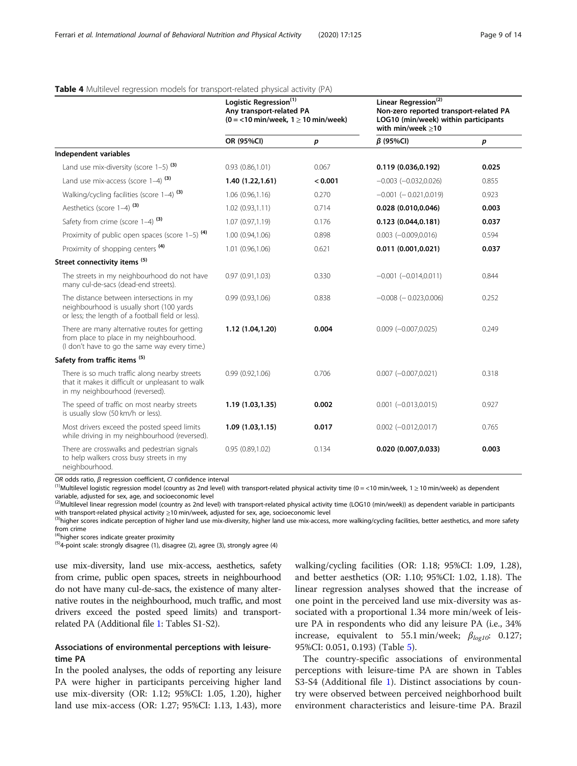## <span id="page-8-0"></span>Table 4 Multilevel regression models for transport-related physical activity (PA)

|                                                                                                                                            | Logistic Regression <sup>(1)</sup><br>Any transport-related PA<br>$(0 = 10 \text{ min/week}, 1 \ge 10 \text{ min/week})$ |         | Linear Regression <sup>(2)</sup><br>Non-zero reported transport-related PA<br>LOG10 (min/week) within participants<br>with min/week $\geq$ 10 |       |
|--------------------------------------------------------------------------------------------------------------------------------------------|--------------------------------------------------------------------------------------------------------------------------|---------|-----------------------------------------------------------------------------------------------------------------------------------------------|-------|
|                                                                                                                                            | OR (95%CI)                                                                                                               | p       | $\beta$ (95%Cl)                                                                                                                               | p     |
| Independent variables                                                                                                                      |                                                                                                                          |         |                                                                                                                                               |       |
| Land use mix-diversity (score $1-5$ ) <sup>(3)</sup>                                                                                       | 0.93(0.86, 1.01)                                                                                                         | 0.067   | 0.119(0.036, 0.192)                                                                                                                           | 0.025 |
| Land use mix-access (score 1-4) (3)                                                                                                        | 1.40(1.22, 1.61)                                                                                                         | < 0.001 | $-0.003$ $(-0.032, 0.026)$                                                                                                                    | 0.855 |
| Walking/cycling facilities (score 1-4) <sup>(3)</sup>                                                                                      | 1.06(0.96, 1.16)                                                                                                         | 0.270   | $-0.001$ $(-0.021, 0.019)$                                                                                                                    | 0.923 |
| Aesthetics (score 1-4) <sup>(3)</sup>                                                                                                      | 1.02(0.93,1.11)                                                                                                          | 0.714   | 0.028(0.010, 0.046)                                                                                                                           | 0.003 |
| Safety from crime (score $1-4$ ) (3)                                                                                                       | 1.07 (0.97,1.19)                                                                                                         | 0.176   | 0.123(0.044, 0.181)                                                                                                                           | 0.037 |
| Proximity of public open spaces (score $1-5$ ) <sup>(4)</sup>                                                                              | 1.00 (0.94,1.06)                                                                                                         | 0.898   | $0.003 (-0.009, 0.016)$                                                                                                                       | 0.594 |
| Proximity of shopping centers <sup>(4)</sup>                                                                                               | 1.01 (0.96,1.06)                                                                                                         | 0.621   | 0.011(0.001, 0.021)                                                                                                                           | 0.037 |
| Street connectivity items <sup>(5)</sup>                                                                                                   |                                                                                                                          |         |                                                                                                                                               |       |
| The streets in my neighbourhood do not have<br>many cul-de-sacs (dead-end streets).                                                        | 0.97(0.91, 1.03)                                                                                                         | 0.330   | $-0.001$ $(-0.014, 0.011)$                                                                                                                    | 0.844 |
| The distance between intersections in my<br>neighbourhood is usually short (100 yards<br>or less; the length of a football field or less). | 0.99(0.93, 1.06)                                                                                                         | 0.838   | $-0.008$ ( $-0.023,0.006$ )                                                                                                                   | 0.252 |
| There are many alternative routes for getting<br>from place to place in my neighbourhood.<br>(I don't have to go the same way every time.) | 1.12 (1.04,1.20)                                                                                                         | 0.004   | $0.009 (-0.007, 0.025)$                                                                                                                       | 0.249 |
| Safety from traffic items <sup>(5)</sup>                                                                                                   |                                                                                                                          |         |                                                                                                                                               |       |
| There is so much traffic along nearby streets<br>that it makes it difficult or unpleasant to walk<br>in my neighbourhood (reversed).       | 0.99(0.92,1.06)                                                                                                          | 0.706   | $0.007 (-0.007, 0.021)$                                                                                                                       | 0.318 |
| The speed of traffic on most nearby streets<br>is usually slow (50 km/h or less).                                                          | 1.19 (1.03,1.35)                                                                                                         | 0.002   | $0.001 (-0.013, 0.015)$                                                                                                                       | 0.927 |
| Most drivers exceed the posted speed limits<br>while driving in my neighbourhood (reversed).                                               | 1.09(1.03, 1.15)                                                                                                         | 0.017   | $0.002 (-0.012, 0.017)$                                                                                                                       | 0.765 |
| There are crosswalks and pedestrian signals<br>to help walkers cross busy streets in my<br>neighbourhood.                                  | 0.95(0.89, 1.02)                                                                                                         | 0.134   | 0.020 (0.007,0.033)                                                                                                                           | 0.003 |

OR odds ratio, β regression coefficient, CI confidence interval<br><sup>(1)</sup>Multilevel logistic regression model (country as 2nd level) with transport-related physical activity time (0 = <10 min/week, 1 ≥ 10 min/week) as depend variable, adjusted for sex, age, and socioeconomic level

(2)Multilevel linear regression model (country as 2nd level) with transport-related physical activity time (LOG10 (min/week)) as dependent variable in participants with transport-related physical activity  $\geq$ 10 min/week

<sup>(3)</sup>higher scores indicate perception of higher land use mix-diversity, higher land use mix-access, more walking/cycling facilities, better aesthetics, and more safety from crime<br><sup>(4)</sup>higher scores indicate greater proximity

 $^{(5)}$ 4-point scale: strongly disagree (1), disagree (2), agree (3), strongly agree (4)

use mix-diversity, land use mix-access, aesthetics, safety from crime, public open spaces, streets in neighbourhood do not have many cul-de-sacs, the existence of many alternative routes in the neighbourhood, much traffic, and most drivers exceed the posted speed limits) and transportrelated PA (Additional file [1](#page-11-0): Tables S1-S2).

## Associations of environmental perceptions with leisuretime PA

In the pooled analyses, the odds of reporting any leisure PA were higher in participants perceiving higher land use mix-diversity (OR: 1.12; 95%CI: 1.05, 1.20), higher land use mix-access (OR: 1.27; 95%CI: 1.13, 1.43), more walking/cycling facilities (OR: 1.18; 95%CI: 1.09, 1.28), and better aesthetics (OR: 1.10; 95%CI: 1.02, 1.18). The linear regression analyses showed that the increase of one point in the perceived land use mix-diversity was associated with a proportional 1.34 more min/week of leisure PA in respondents who did any leisure PA (i.e., 34% increase, equivalent to 55.1 min/week;  $\beta_{log10}$ : 0.127; 95%CI: 0.051, 0.193) (Table [5](#page-9-0)).

The country-specific associations of environmental perceptions with leisure-time PA are shown in Tables S3-S4 (Additional file [1\)](#page-11-0). Distinct associations by country were observed between perceived neighborhood built environment characteristics and leisure-time PA. Brazil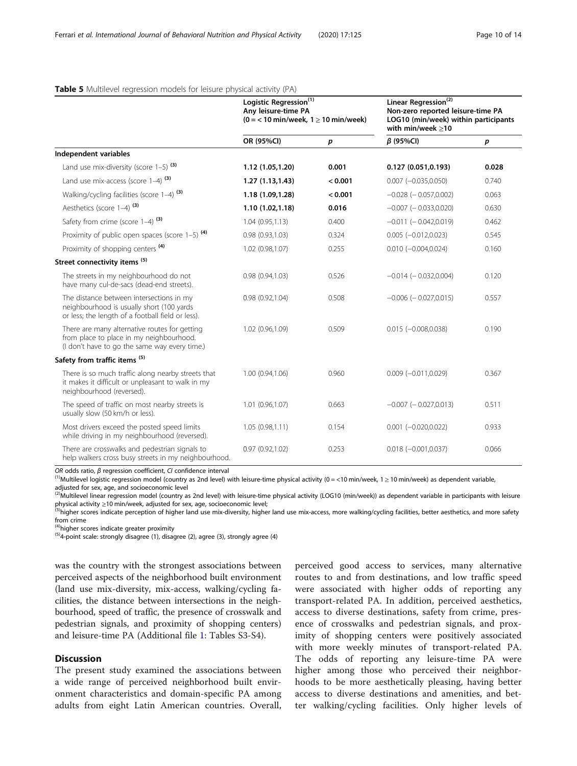<span id="page-9-0"></span>

|  | Table 5 Multilevel regression models for leisure physical activity (PA) |  |  |  |
|--|-------------------------------------------------------------------------|--|--|--|
|  |                                                                         |  |  |  |

|                                                                                                                                            | Logistic Regression <sup>(1)</sup><br>Any leisure-time PA<br>$(0 = 10 \text{ min/week}, 1 \ge 10 \text{ min/week})$ |         | Linear Regression <sup>(2)</sup><br>Non-zero reported leisure-time PA<br>LOG10 (min/week) within participants<br>with min/week $\geq$ 10 |       |  |
|--------------------------------------------------------------------------------------------------------------------------------------------|---------------------------------------------------------------------------------------------------------------------|---------|------------------------------------------------------------------------------------------------------------------------------------------|-------|--|
|                                                                                                                                            | OR (95%CI)                                                                                                          | p       | $\beta$ (95%CI)                                                                                                                          | p     |  |
| Independent variables                                                                                                                      |                                                                                                                     |         |                                                                                                                                          |       |  |
| Land use mix-diversity (score $1-5$ ) (3)                                                                                                  | 1.12 (1.05,1.20)                                                                                                    | 0.001   | 0.127(0.051, 0.193)                                                                                                                      | 0.028 |  |
| Land use mix-access (score $1-4$ ) <sup>(3)</sup>                                                                                          | 1.27(1.13, 1.43)                                                                                                    | < 0.001 | $0.007 (-0.035, 0.050)$                                                                                                                  | 0.740 |  |
| Walking/cycling facilities (score 1-4) <sup>(3)</sup>                                                                                      | 1.18 (1.09,1.28)                                                                                                    | < 0.001 | $-0.028$ ( $-0.057,0.002$ )                                                                                                              | 0.063 |  |
| Aesthetics (score 1-4) <sup>(3)</sup>                                                                                                      | 1.10 (1.02,1.18)                                                                                                    | 0.016   | $-0.007$ ( $-0.033,0.020$ )                                                                                                              | 0.630 |  |
| Safety from crime (score $1-4$ ) (3)                                                                                                       | 1.04(0.95, 1.13)                                                                                                    | 0.400   | $-0.011$ $(-0.042,0.019)$                                                                                                                | 0.462 |  |
| Proximity of public open spaces (score 1-5) <sup>(4)</sup>                                                                                 | 0.98(0.93, 1.03)                                                                                                    | 0.324   | $0.005 (-0.012, 0.023)$                                                                                                                  | 0.545 |  |
| Proximity of shopping centers <sup>(4)</sup>                                                                                               | 1.02 (0.98,1.07)                                                                                                    | 0.255   | $0.010 (-0.004, 0.024)$                                                                                                                  | 0.160 |  |
| Street connectivity items (5)                                                                                                              |                                                                                                                     |         |                                                                                                                                          |       |  |
| The streets in my neighbourhood do not<br>have many cul-de-sacs (dead-end streets).                                                        | 0.98(0.94, 1.03)                                                                                                    | 0.526   | $-0.014$ ( $-0.032,0.004$ )                                                                                                              | 0.120 |  |
| The distance between intersections in my<br>neighbourhood is usually short (100 yards<br>or less; the length of a football field or less). | 0.98(0.92, 1.04)                                                                                                    | 0.508   | $-0.006$ ( $-0.027,0.015$ )                                                                                                              | 0.557 |  |
| There are many alternative routes for getting<br>from place to place in my neighbourhood.<br>(I don't have to go the same way every time.) | 1.02 (0.96,1.09)                                                                                                    | 0.509   | $0.015 (-0.008, 0.038)$                                                                                                                  | 0.190 |  |
| Safety from traffic items <sup>(5)</sup>                                                                                                   |                                                                                                                     |         |                                                                                                                                          |       |  |
| There is so much traffic along nearby streets that<br>it makes it difficult or unpleasant to walk in my<br>neighbourhood (reversed).       | 1.00 (0.94,1.06)                                                                                                    | 0.960   | $0.009 (-0.011, 0.029)$                                                                                                                  | 0.367 |  |
| The speed of traffic on most nearby streets is<br>usually slow (50 km/h or less).                                                          | 1.01 (0.96,1.07)                                                                                                    | 0.663   | $-0.007$ ( $-0.027,0.013$ )                                                                                                              | 0.511 |  |
| Most drivers exceed the posted speed limits<br>while driving in my neighbourhood (reversed).                                               | 1.05(0.98, 1.11)                                                                                                    | 0.154   | $0.001 (-0.020, 0.022)$                                                                                                                  | 0.933 |  |
| There are crosswalks and pedestrian signals to<br>help walkers cross busy streets in my neighbourhood.                                     | 0.97(0.92, 1.02)                                                                                                    | 0.253   | $0.018 (-0.001, 0.037)$                                                                                                                  | 0.066 |  |

OR odds ratio, β regression coefficient, CI confidence interval<br><sup>(1)</sup>Multilevel logistic regression model (country as 2nd level) with leisure-time physical activity (0 = <10 min/week, 1 ≥ 10 min/week) as dependent variab adjusted for sex, age, and socioeconomic level

<sup>(2)</sup>Multilevel linear regression model (country as 2nd level) with leisure-time physical activity (LOG10 (min/week)) as dependent variable in participants with leisure

physical activity ≥10 min/week, adjusted for sex, age, socioeconomic level;<br><sup>(3)</sup>higher scores indicate perception of higher land use mix-diversity, higher land use mix-access, more walking/cycling facilities, better aest from crime<br><sup>(4)</sup>higher scores indicate greater proximity

 $(5)4$ -point scale: strongly disagree (1), disagree (2), agree (3), strongly agree (4)

was the country with the strongest associations between perceived aspects of the neighborhood built environment (land use mix-diversity, mix-access, walking/cycling facilities, the distance between intersections in the neighbourhood, speed of traffic, the presence of crosswalk and pedestrian signals, and proximity of shopping centers) and leisure-time PA (Additional file [1](#page-11-0): Tables S3-S4).

## **Discussion**

The present study examined the associations between a wide range of perceived neighborhood built environment characteristics and domain-specific PA among adults from eight Latin American countries. Overall,

perceived good access to services, many alternative routes to and from destinations, and low traffic speed were associated with higher odds of reporting any transport-related PA. In addition, perceived aesthetics, access to diverse destinations, safety from crime, presence of crosswalks and pedestrian signals, and proximity of shopping centers were positively associated with more weekly minutes of transport-related PA. The odds of reporting any leisure-time PA were higher among those who perceived their neighborhoods to be more aesthetically pleasing, having better access to diverse destinations and amenities, and better walking/cycling facilities. Only higher levels of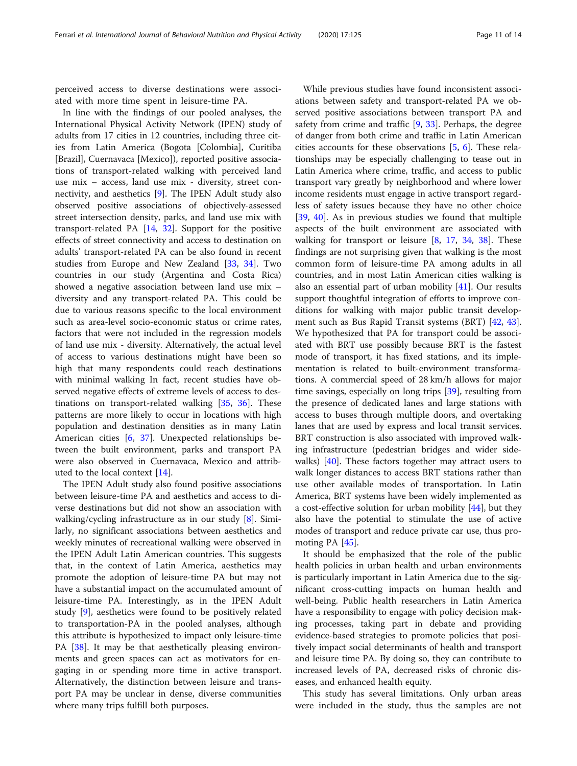perceived access to diverse destinations were associated with more time spent in leisure-time PA.

In line with the findings of our pooled analyses, the International Physical Activity Network (IPEN) study of adults from 17 cities in 12 countries, including three cities from Latin America (Bogota [Colombia], Curitiba [Brazil], Cuernavaca [Mexico]), reported positive associations of transport-related walking with perceived land use mix – access, land use mix - diversity, street connectivity, and aesthetics [\[9](#page-12-0)]. The IPEN Adult study also observed positive associations of objectively-assessed street intersection density, parks, and land use mix with transport-related PA [[14,](#page-12-0) [32\]](#page-13-0). Support for the positive effects of street connectivity and access to destination on adults' transport-related PA can be also found in recent studies from Europe and New Zealand [[33](#page-13-0), [34\]](#page-13-0). Two countries in our study (Argentina and Costa Rica) showed a negative association between land use mix – diversity and any transport-related PA. This could be due to various reasons specific to the local environment such as area-level socio-economic status or crime rates, factors that were not included in the regression models of land use mix - diversity. Alternatively, the actual level of access to various destinations might have been so high that many respondents could reach destinations with minimal walking In fact, recent studies have observed negative effects of extreme levels of access to destinations on transport-related walking [\[35,](#page-13-0) [36](#page-13-0)]. These patterns are more likely to occur in locations with high population and destination densities as in many Latin American cities [\[6,](#page-12-0) [37\]](#page-13-0). Unexpected relationships between the built environment, parks and transport PA were also observed in Cuernavaca, Mexico and attributed to the local context [\[14](#page-12-0)].

The IPEN Adult study also found positive associations between leisure-time PA and aesthetics and access to diverse destinations but did not show an association with walking/cycling infrastructure as in our study [[8](#page-12-0)]. Similarly, no significant associations between aesthetics and weekly minutes of recreational walking were observed in the IPEN Adult Latin American countries. This suggests that, in the context of Latin America, aesthetics may promote the adoption of leisure-time PA but may not have a substantial impact on the accumulated amount of leisure-time PA. Interestingly, as in the IPEN Adult study [[9\]](#page-12-0), aesthetics were found to be positively related to transportation-PA in the pooled analyses, although this attribute is hypothesized to impact only leisure-time PA [[38\]](#page-13-0). It may be that aesthetically pleasing environments and green spaces can act as motivators for engaging in or spending more time in active transport. Alternatively, the distinction between leisure and transport PA may be unclear in dense, diverse communities where many trips fulfill both purposes.

While previous studies have found inconsistent associations between safety and transport-related PA we observed positive associations between transport PA and safety from crime and traffic [\[9](#page-12-0), [33](#page-13-0)]. Perhaps, the degree of danger from both crime and traffic in Latin American cities accounts for these observations [\[5](#page-12-0), [6\]](#page-12-0). These relationships may be especially challenging to tease out in Latin America where crime, traffic, and access to public transport vary greatly by neighborhood and where lower income residents must engage in active transport regardless of safety issues because they have no other choice [[39,](#page-13-0) [40\]](#page-13-0). As in previous studies we found that multiple aspects of the built environment are associated with walking for transport or leisure [\[8](#page-12-0), [17](#page-12-0), [34](#page-13-0), [38\]](#page-13-0). These findings are not surprising given that walking is the most common form of leisure-time PA among adults in all countries, and in most Latin American cities walking is also an essential part of urban mobility [\[41](#page-13-0)]. Our results support thoughtful integration of efforts to improve conditions for walking with major public transit development such as Bus Rapid Transit systems (BRT) [\[42,](#page-13-0) [43](#page-13-0)]. We hypothesized that PA for transport could be associated with BRT use possibly because BRT is the fastest mode of transport, it has fixed stations, and its implementation is related to built-environment transformations. A commercial speed of 28 km/h allows for major time savings, especially on long trips [[39\]](#page-13-0), resulting from the presence of dedicated lanes and large stations with access to buses through multiple doors, and overtaking lanes that are used by express and local transit services. BRT construction is also associated with improved walking infrastructure (pedestrian bridges and wider sidewalks)  $[40]$  $[40]$ . These factors together may attract users to walk longer distances to access BRT stations rather than use other available modes of transportation. In Latin America, BRT systems have been widely implemented as a cost-effective solution for urban mobility [\[44](#page-13-0)], but they also have the potential to stimulate the use of active modes of transport and reduce private car use, thus promoting PA [\[45](#page-13-0)].

It should be emphasized that the role of the public health policies in urban health and urban environments is particularly important in Latin America due to the significant cross-cutting impacts on human health and well-being. Public health researchers in Latin America have a responsibility to engage with policy decision making processes, taking part in debate and providing evidence-based strategies to promote policies that positively impact social determinants of health and transport and leisure time PA. By doing so, they can contribute to increased levels of PA, decreased risks of chronic diseases, and enhanced health equity.

This study has several limitations. Only urban areas were included in the study, thus the samples are not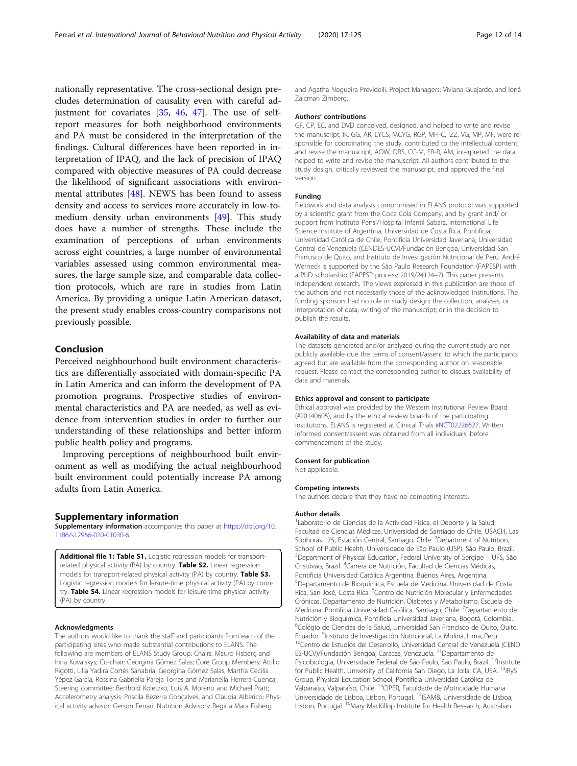<span id="page-11-0"></span>nationally representative. The cross-sectional design precludes determination of causality even with careful adjustment for covariates  $[35, 46, 47]$  $[35, 46, 47]$  $[35, 46, 47]$  $[35, 46, 47]$  $[35, 46, 47]$ . The use of selfreport measures for both neighborhood environments and PA must be considered in the interpretation of the findings. Cultural differences have been reported in interpretation of IPAQ, and the lack of precision of IPAQ compared with objective measures of PA could decrease the likelihood of significant associations with environmental attributes [[48\]](#page-13-0). NEWS has been found to assess density and access to services more accurately in low-tomedium density urban environments [\[49](#page-13-0)]. This study does have a number of strengths. These include the examination of perceptions of urban environments across eight countries, a large number of environmental variables assessed using common environmental measures, the large sample size, and comparable data collection protocols, which are rare in studies from Latin America. By providing a unique Latin American dataset, the present study enables cross-country comparisons not previously possible.

## Conclusion

Perceived neighbourhood built environment characteristics are differentially associated with domain-specific PA in Latin America and can inform the development of PA promotion programs. Prospective studies of environmental characteristics and PA are needed, as well as evidence from intervention studies in order to further our understanding of these relationships and better inform public health policy and programs.

Improving perceptions of neighbourhood built environment as well as modifying the actual neighbourhood built environment could potentially increase PA among adults from Latin America.

## Supplementary information

Supplementary information accompanies this paper at [https://doi.org/10.](https://doi.org/10.1186/s12966-020-01030-6) [1186/s12966-020-01030-6](https://doi.org/10.1186/s12966-020-01030-6).

Additional file 1: Table S1. Logistic regression models for transportrelated physical activity (PA) by country. Table S2. Linear regression models for transport-related physical activity (PA) by country. Table S3. Logistic regression models for leisure-time physical activity (PA) by country. Table S4. Linear regression models for leisure-time physical activity (PA) by country

#### Acknowledgments

The authors would like to thank the staff and participants from each of the participating sites who made substantial contributions to ELANS. The following are members of ELANS Study Group: Chairs: Mauro Fisberg and Irina Kovalskys; Co-chair: Georgina Gómez Salas; Core Group Members: Attilio Rigotti, Lilia Yadira Cortés Sanabria, Georgina Gómez Salas, Martha Cecilia Yépez García, Rossina Gabriella Pareja Torres and Marianella Herrera-Cuenca; Steering committee: Berthold Koletzko, Luis A. Moreno and Michael Pratt; Accelerometry analysis: Priscila Bezerra Gonçalves, and Claudia Alberico; Physical activity advisor: Gerson Ferrari. Nutrition Advisors: Regina Mara Fisberg

and Agatha Nogueira Previdelli. Project Managers: Viviana Guajardo, and Ioná Zalcman Zimberg.

#### Authors' contributions

GF, CP, EC, and DVD conceived, designed, and helped to write and revise the manuscript; IK, GG, AR, LYCS, MCYG, RGP, MH-C, IZZ, VG, MP, MF, were responsible for coordinating the study, contributed to the intellectual content, and revise the manuscript, AOW, DRS, CC-M, FR-R, AM, interpreted the data, helped to write and revise the manuscript. All authors contributed to the study design, critically reviewed the manuscript, and approved the final version.

#### Funding

Fieldwork and data analysis compromised in ELANS protocol was supported by a scientific grant from the Coca Cola Company, and by grant and/ or support from Instituto Pensi/Hospital Infantil Sabara, International Life Science Institute of Argentina, Universidad de Costa Rica, Pontificia Universidad Católica de Chile, Pontificia Universidad Javeriana, Universidad Central de Venezuela (CENDES-UCV)/Fundación Bengoa, Universidad San Francisco de Quito, and Instituto de Investigación Nutricional de Peru. André Werneck is supported by the São Paulo Research Foundation (FAPESP) with a PhD scholarship (FAPESP process: 2019/24124–7). This paper presents independent research. The views expressed in this publication are those of the authors and not necessarily those of the acknowledged institutions. The funding sponsors had no role in study design; the collection, analyses, or interpretation of data; writing of the manuscript; or in the decision to publish the results.

### Availability of data and materials

The datasets generated and/or analyzed during the current study are not publicly available due the terms of consent/assent to which the participants agreed but are available from the corresponding author on reasonable request. Please contact the corresponding author to discuss availability of data and materials.

#### Ethics approval and consent to participate

Ethical approval was provided by the Western Institutional Review Board (#20140605), and by the ethical review boards of the participating institutions. ELANS is registered at Clinical Trials [#NCT02226627](https://clinicaltrials.gov/ct2/show/NCT02226627). Written informed consent/assent was obtained from all individuals, before commencement of the study.

#### Consent for publication

Not applicable.

#### Competing interests

The authors declare that they have no competing interests.

### Author details

<sup>1</sup> Laboratorio de Ciencias de la Actividad Física, el Deporte y la Salud, Facultad de Ciencias Médicas, Universidad de Santiago de Chile, USACH, Las Sophoras 175, Estación Central, Santiago, Chile. <sup>2</sup>Department of Nutrition School of Public Health, Universidade de São Paulo (USP), São Paulo, Brazil. <sup>3</sup>Department of Physical Education, Federal University of Sergipe - UFS, São Cristóvão, Brazil. <sup>4</sup>Carrera de Nutrición, Facultad de Ciencias Médicas, Pontificia Universidad Católica Argentina, Buenos Aires, Argentina. 5 Departamento de Bioquímica, Escuela de Medicina, Universidad de Costa Rica, San José, Costa Rica. <sup>6</sup>Centro de Nutrición Molecular y Enfermedades Crónicas, Departamento de Nutrición, Diabetes y Metabolismo, Escuela de Medicina, Pontificia Universidad Católica, Santiago, Chile. <sup>7</sup>Departamento de Nutrición y Bioquímica, Pontificia Universidad Javeriana, Bogotá, Colombia. 8 Colégio de Ciencias de la Salud, Universidad San Francisco de Quito, Quito, Ecuador. <sup>9</sup>Instituto de Investigación Nutricional, La Molina, Lima, Peru. <sup>10</sup>Centro de Estudios del Desarrollo, Universidad Central de Venezuela (CEND ES-UCV)/Fundación Bengoa, Caracas, Venezuela. <sup>11</sup>Departamento de Psicobiologia, Universidade Federal de São Paulo, São Paulo, Brazil. <sup>12</sup>Institute for Public Health, University of California San Diego, La Jolla, CA, USA. <sup>13</sup>IRyS Group, Physical Education School, Pontificia Universidad Católica de Valparaíso, Valparaíso, Chile. 14CIPER, Faculdade de Motricidade Humana Universidade de Lisboa, Lisbon, Portugal. <sup>15</sup>ISAMB, Universidade de Lisboa, Lisbon, Portugal. <sup>16</sup>Mary MacKillop Institute for Health Research, Australian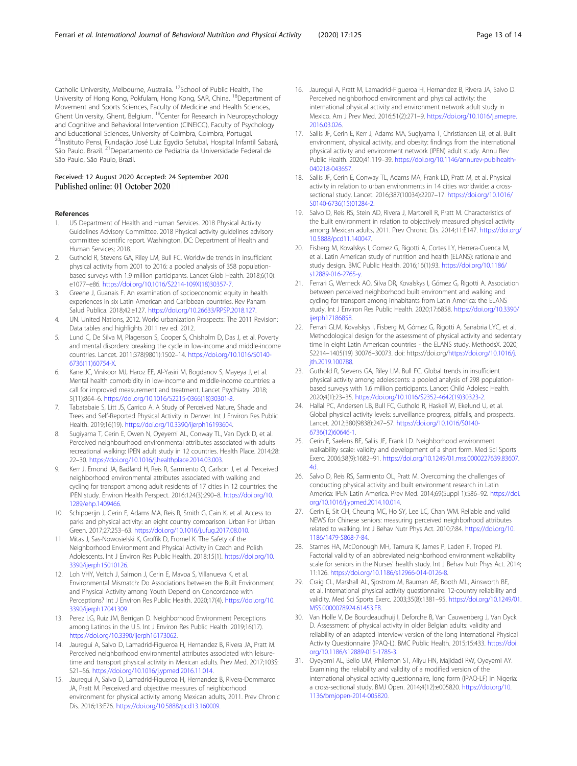<span id="page-12-0"></span>Catholic University, Melbourne, Australia. 17School of Public Health, The University of Hong Kong, Pokfulam, Hong Kong, SAR, China. <sup>18</sup>Department of Movement and Sports Sciences, Faculty of Medicine and Health Sciences, Ghent University, Ghent, Belgium. <sup>19</sup>Center for Research in Neuropsychology and Cognitive and Behavioral Intervention (CINEICC), Faculty of Psychology and Educational Sciences, University of Coimbra, Coimbra, Portugal. 20Instituto Pensi, Fundação José Luiz Egydio Setubal, Hospital Infantil Sabará, São Paulo, Brazil. 21Departamento de Pediatria da Universidade Federal de São Paulo, São Paulo, Brazil.

## Received: 12 August 2020 Accepted: 24 September 2020 Published online: 01 October 2020

#### References

- 1. US Department of Health and Human Services. 2018 Physical Activity Guidelines Advisory Committee. 2018 Physical activity guidelines advisory committee scientific report. Washington, DC: Department of Health and Human Services; 2018.
- 2. Guthold R, Stevens GA, Riley LM, Bull FC. Worldwide trends in insufficient physical activity from 2001 to 2016: a pooled analysis of 358 populationbased surveys with 1.9 million participants. Lancet Glob Health. 2018;6(10): e1077–e86. [https://doi.org/10.1016/S2214-109X\(18\)30357-7](https://doi.org/10.1016/S2214-109X(18)30357-7).
- Greene J, Guanais F. An examination of socioeconomic equity in health experiences in six Latin American and Caribbean countries. Rev Panam Salud Publica. 2018;42:e127. [https://doi.org/10.26633/RPSP.2018.127.](https://doi.org/10.26633/RPSP.2018.127)
- 4. UN. United Nations, 2012. World urbanization Prospects: The 2011 Revision: Data tables and highlights 2011 rev ed. 2012.
- 5. Lund C, De Silva M, Plagerson S, Cooper S, Chisholm D, Das J, et al. Poverty and mental disorders: breaking the cycle in low-income and middle-income countries. Lancet. 2011;378(9801):1502–14. [https://doi.org/10.1016/S0140-](https://doi.org/10.1016/S0140-6736(11)60754-X) [6736\(11\)60754-X.](https://doi.org/10.1016/S0140-6736(11)60754-X)
- 6. Kane JC, Vinikoor MJ, Haroz EE, Al-Yasiri M, Bogdanov S, Mayeya J, et al. Mental health comorbidity in low-income and middle-income countries: a call for improved measurement and treatment. Lancet Psychiatry. 2018; 5(11):864–6. [https://doi.org/10.1016/S2215-0366\(18\)30301-8](https://doi.org/10.1016/S2215-0366(18)30301-8).
- Tabatabaie S, Litt JS, Carrico A. A Study of Perceived Nature, Shade and Trees and Self-Reported Physical Activity in Denver. Int J Environ Res Public Health. 2019;16(19). [https://doi.org/10.3390/ijerph16193604.](https://doi.org/10.3390/ijerph16193604)
- Sugiyama T, Cerin E, Owen N, Oyeyemi AL, Conway TL, Van Dyck D, et al. Perceived neighbourhood environmental attributes associated with adults recreational walking: IPEN adult study in 12 countries. Health Place. 2014;28: 22–30. <https://doi.org/10.1016/j.healthplace.2014.03.003>.
- 9. Kerr J, Emond JA, Badland H, Reis R, Sarmiento O, Carlson J, et al. Perceived neighborhood environmental attributes associated with walking and cycling for transport among adult residents of 17 cities in 12 countries: the IPEN study. Environ Health Perspect. 2016;124(3):290–8. [https://doi.org/10.](https://doi.org/10.1289/ehp.1409466) [1289/ehp.1409466.](https://doi.org/10.1289/ehp.1409466)
- 10. Schipperijn J, Cerin E, Adams MA, Reis R, Smith G, Cain K, et al. Access to parks and physical activity: an eight country comparison. Urban For Urban Green. 2017;27:253–63. <https://doi.org/10.1016/j.ufug.2017.08.010>.
- 11. Mitas J, Sas-Nowosielski K, Groffik D, Fromel K. The Safety of the Neighborhood Environment and Physical Activity in Czech and Polish Adolescents. Int J Environ Res Public Health. 2018;15(1). [https://doi.org/10.](https://doi.org/10.3390/ijerph15010126) [3390/ijerph15010126](https://doi.org/10.3390/ijerph15010126).
- 12. Loh VHY, Veitch J, Salmon J, Cerin E, Mavoa S, Villanueva K, et al. Environmental Mismatch: Do Associations between the Built Environment and Physical Activity among Youth Depend on Concordance with Perceptions? Int J Environ Res Public Health. 2020;17(4). [https://doi.org/10.](https://doi.org/10.3390/ijerph17041309) [3390/ijerph17041309](https://doi.org/10.3390/ijerph17041309).
- 13. Perez LG, Ruiz JM, Berrigan D. Neighborhood Environment Perceptions among Latinos in the U.S. Int J Environ Res Public Health. 2019;16(17). <https://doi.org/10.3390/ijerph16173062>.
- 14. Jauregui A, Salvo D, Lamadrid-Figueroa H, Hernandez B, Rivera JA, Pratt M. Perceived neighborhood environmental attributes associated with leisuretime and transport physical activity in Mexican adults. Prev Med. 2017;103S: S21–S6. [https://doi.org/10.1016/j.ypmed.2016.11.014.](https://doi.org/10.1016/j.ypmed.2016.11.014)
- 15. Jauregui A, Salvo D, Lamadrid-Figueroa H, Hernandez B, Rivera-Dommarco JA, Pratt M. Perceived and objective measures of neighborhood environment for physical activity among Mexican adults, 2011. Prev Chronic Dis. 2016;13:E76. <https://doi.org/10.5888/pcd13.160009>.
- 16. Jauregui A, Pratt M, Lamadrid-Figueroa H, Hernandez B, Rivera JA, Salvo D. Perceived neighborhood environment and physical activity: the international physical activity and environment network adult study in Mexico. Am J Prev Med. 2016;51(2):271–9. [https://doi.org/10.1016/j.amepre.](https://doi.org/10.1016/j.amepre.2016.03.026) [2016.03.026.](https://doi.org/10.1016/j.amepre.2016.03.026)
- 17. Sallis JF, Cerin E, Kerr J, Adams MA, Sugiyama T, Christiansen LB, et al. Built environment, physical activity, and obesity: findings from the international physical activity and environment network (IPEN) adult study. Annu Rev Public Health. 2020;41:119–39. [https://doi.org/10.1146/annurev-publhealth-](https://doi.org/10.1146/annurev-publhealth-040218-043657)[040218-043657.](https://doi.org/10.1146/annurev-publhealth-040218-043657)
- 18. Sallis JF, Cerin E, Conway TL, Adams MA, Frank LD, Pratt M, et al. Physical activity in relation to urban environments in 14 cities worldwide: a crosssectional study. Lancet. 2016;387(10034):2207–17. [https://doi.org/10.1016/](https://doi.org/10.1016/S0140-6736(15)01284-2) [S0140-6736\(15\)01284-2](https://doi.org/10.1016/S0140-6736(15)01284-2)
- 19. Salvo D, Reis RS, Stein AD, Rivera J, Martorell R, Pratt M. Characteristics of the built environment in relation to objectively measured physical activity among Mexican adults, 2011. Prev Chronic Dis. 2014;11:E147. [https://doi.org/](https://doi.org/10.5888/pcd11.140047) [10.5888/pcd11.140047](https://doi.org/10.5888/pcd11.140047).
- 20. Fisberg M, Kovalskys I, Gomez G, Rigotti A, Cortes LY, Herrera-Cuenca M, et al. Latin American study of nutrition and health (ELANS): rationale and study design. BMC Public Health. 2016;16(1):93. [https://doi.org/10.1186/](https://doi.org/10.1186/s12889-016-2765-y) [s12889-016-2765-y.](https://doi.org/10.1186/s12889-016-2765-y)
- 21. Ferrari G, Werneck AO, Silva DR, Kovalskys I, Gómez G, Rigotti A. Association between perceived neighborhood built environment and walking and cycling for transport among inhabitants from Latin America: the ELANS study. Int J Environ Res Public Health. 2020;17:6858. [https://doi.org/10.3390/](https://doi.org/10.3390/ijerph17186858) [ijerph17186858](https://doi.org/10.3390/ijerph17186858).
- 22. Ferrari GLM, Kovalskys I, Fisberg M, Gómez G, Rigotti A, Sanabria LYC, et al. Methodological design for the assessment of physical activity and sedentary time in eight Latin American countries - the ELANS study. MethodsX. 2020; S2214–1405(19) 30076–30073. doi: https://doi.org[/https://doi.org/10.1016/j.](https://doi.org/10.1016/j.jth.2019.100788) [jth.2019.100788.](https://doi.org/10.1016/j.jth.2019.100788)
- 23. Guthold R, Stevens GA, Riley LM, Bull FC. Global trends in insufficient physical activity among adolescents: a pooled analysis of 298 populationbased surveys with 1.6 million participants. Lancet Child Adolesc Health. 2020;4(1):23–35. [https://doi.org/10.1016/S2352-4642\(19\)30323-2.](https://doi.org/10.1016/S2352-4642(19)30323-2)
- 24. Hallal PC, Andersen LB, Bull FC, Guthold R, Haskell W, Ekelund U, et al. Global physical activity levels: surveillance progress, pitfalls, and prospects. Lancet. 2012;380(9838):247–57. [https://doi.org/10.1016/S0140-](https://doi.org/10.1016/S0140-6736(12)60646-1) [6736\(12\)60646-1](https://doi.org/10.1016/S0140-6736(12)60646-1).
- 25. Cerin E, Saelens BE, Sallis JF, Frank LD. Neighborhood environment walkability scale: validity and development of a short form. Med Sci Sports Exerc. 2006;38(9):1682–91. [https://doi.org/10.1249/01.mss.0000227639.83607.](https://doi.org/10.1249/01.mss.0000227639.83607.4d) [4d](https://doi.org/10.1249/01.mss.0000227639.83607.4d).
- 26. Salvo D, Reis RS, Sarmiento OL, Pratt M. Overcoming the challenges of conducting physical activity and built environment research in Latin America: IPEN Latin America. Prev Med. 2014;69(Suppl 1):S86–92. [https://doi.](https://doi.org/10.1016/j.ypmed.2014.10.014) [org/10.1016/j.ypmed.2014.10.014.](https://doi.org/10.1016/j.ypmed.2014.10.014)
- 27. Cerin E, Sit CH, Cheung MC, Ho SY, Lee LC, Chan WM. Reliable and valid NEWS for Chinese seniors: measuring perceived neighborhood attributes related to walking. Int J Behav Nutr Phys Act. 2010;7:84. [https://doi.org/10.](https://doi.org/10.1186/1479-5868-7-84) [1186/1479-5868-7-84.](https://doi.org/10.1186/1479-5868-7-84)
- 28. Starnes HA, McDonough MH, Tamura K, James P, Laden F, Troped PJ. Factorial validity of an abbreviated neighborhood environment walkability scale for seniors in the Nurses' health study. Int J Behav Nutr Phys Act. 2014; 11:126. [https://doi.org/10.1186/s12966-014-0126-8.](https://doi.org/10.1186/s12966-014-0126-8)
- 29. Craig CL, Marshall AL, Sjostrom M, Bauman AE, Booth ML, Ainsworth BE, et al. International physical activity questionnaire: 12-country reliability and validity. Med Sci Sports Exerc. 2003;35(8):1381–95. [https://doi.org/10.1249/01.](https://doi.org/10.1249/01.MSS.0000078924.61453.FB) [MSS.0000078924.61453.FB](https://doi.org/10.1249/01.MSS.0000078924.61453.FB).
- 30. Van Holle V, De Bourdeaudhuij I, Deforche B, Van Cauwenberg J, Van Dyck D. Assessment of physical activity in older Belgian adults: validity and reliability of an adapted interview version of the long International Physical Activity Questionnaire (IPAQ-L). BMC Public Health. 2015;15:433. [https://doi.](https://doi.org/10.1186/s12889-015-1785-3) [org/10.1186/s12889-015-1785-3](https://doi.org/10.1186/s12889-015-1785-3).
- 31. Oyeyemi AL, Bello UM, Philemon ST, Aliyu HN, Majidadi RW, Oyeyemi AY. Examining the reliability and validity of a modified version of the international physical activity questionnaire, long form (IPAQ-LF) in Nigeria: a cross-sectional study. BMJ Open. 2014;4(12):e005820. [https://doi.org/10.](https://doi.org/10.1136/bmjopen-2014-005820) [1136/bmjopen-2014-005820](https://doi.org/10.1136/bmjopen-2014-005820).